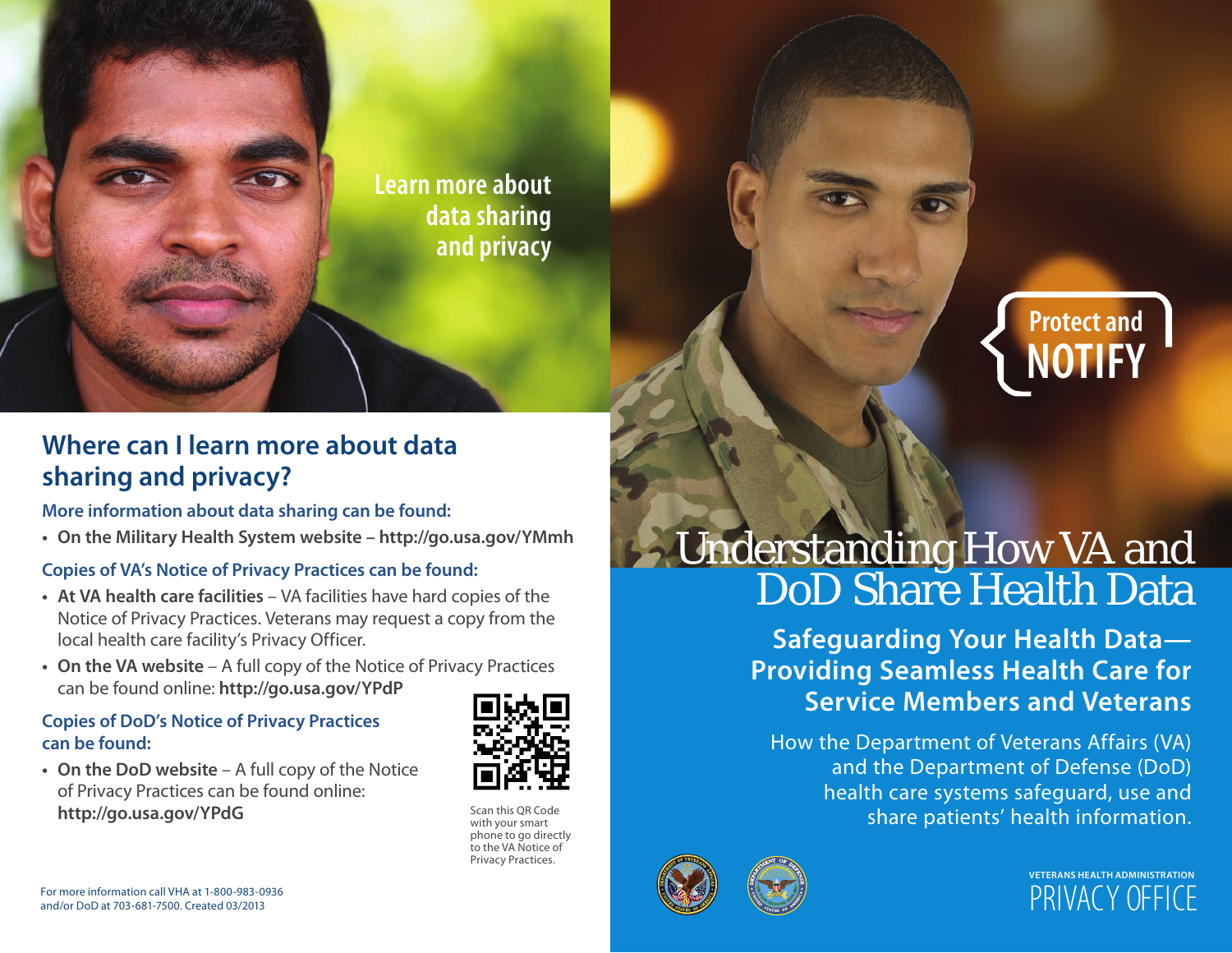

### **Where can i learn more about data sharing and privacy?**

#### **more information about data sharing can be found:**

**• on the military Health system website [– http://go.usa.gov/Ymmh](http://www.go.usa.gov/YMmh)**

### **Copies of Va's notice of Privacy Practices can be found:**

- **at Va health care facilities**  VA facilities have hard copies of the Notice of Privacy Practices. Veterans may request a copy from the local health care facility's Privacy Officer.
- **on the Va website** A full copy of the Notice of Privacy Practices can be found online: **[http://go.usa.gov/YPdP](http://www.go.usa.gov/YPdP)**

### **Copies of DoD's Notice of Privacy Practices can be found:**

• On the DoD website – A full copy of the Notice of Privacy Practices can be found online: **[http://go.usa.gov/YPdG](http://www.go.usa.gov/YPdG)** Scan this QR Code



with your smart phone to go directly to the VA Notice of Privacy Practices.

# Understanding How VA and

**Safeguarding Your Health Data— Providing seamless Health Care for service members and Veterans** 

health care systems safeguard, use and share patients' health information.<br>. How the Department of Veterans Affairs (VA) and the Department of Defense (DoD)





**Protect and** 

**NOTIFY**